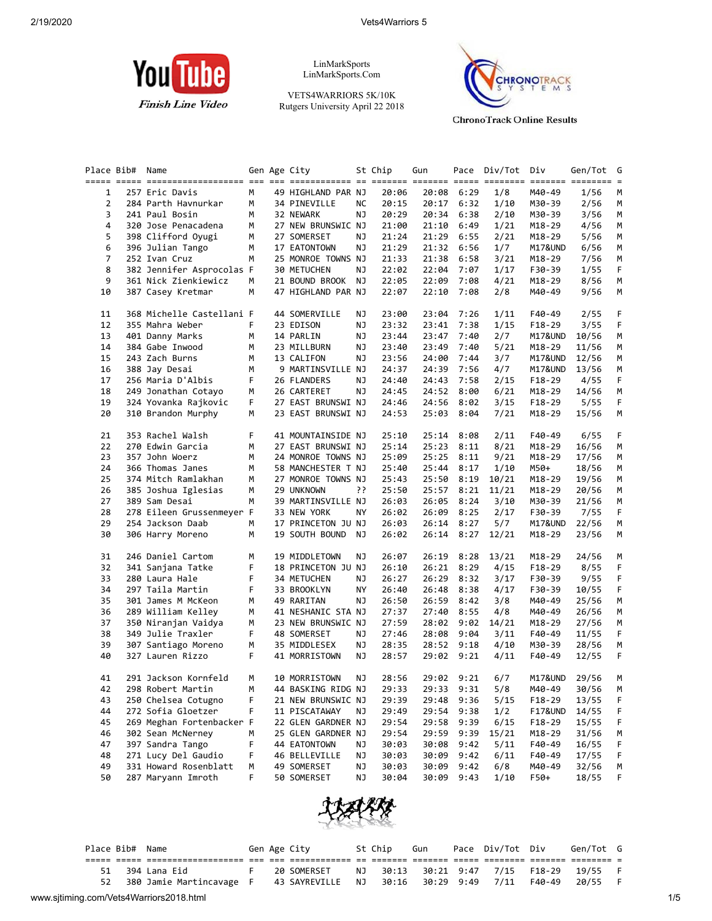

LinMarkSports LinMarkSports.Com

VETS4WARRIORS 5K/10K Rutgers University April 22 2018



**ChronoTrack Online Results** 

|                | Place Bib# Name |                           |   | Gen Age City       |           | St Chip | Gun        |            | Pace Div/Tot Div |            | Gen/Tot G |    |
|----------------|-----------------|---------------------------|---|--------------------|-----------|---------|------------|------------|------------------|------------|-----------|----|
| $\mathbf{1}$   |                 | 257 Eric Davis            | M | 49 HIGHLAND PAR NJ |           | 20:06   | 20:08      | 6:29       | 1/8              | M40-49     | 1/56      | M  |
| $\overline{2}$ |                 | 284 Parth Havnurkar       | М | 34 PINEVILLE       | NС        | 20:15   | 20:17 6:32 |            | 1/10             | M30-39     | 2/56      | М  |
| 3              |                 | 241 Paul Bosin            | М | 32 NEWARK          | ΝJ        | 20:29   | 20:34      | 6:38       | 2/10             | M30-39     | 3/56      | М  |
| 4              |                 | 320 Jose Penacadena       | М | 27 NEW BRUNSWIC NJ |           | 21:00   | 21:10      | 6:49       | 1/21             | $M18 - 29$ | 4/56      | М  |
| 5              |                 | 398 Clifford Oyugi        | М | 27 SOMERSET        | ΝJ        | 21:24   | 21:29      | 6:55       | 2/21             | M18-29     | 5/56      | М  |
| 6              |                 | 396 Julian Tango          | М | 17 EATONTOWN       | NJ        | 21:29   | 21:32      | 6:56       | 1/7              | M17&UND    | 6/56      | М  |
| $\overline{7}$ |                 | 252 Ivan Cruz             | м | 25 MONROE TOWNS NJ |           | 21:33   | 21:38      | 6:58       | 3/21             | M18-29     | 7/56      | М  |
| 8              |                 | 382 Jennifer Asprocolas F |   | 30 METUCHEN        | ΝJ        | 22:02   | 22:04      | 7:07       | 1/17             | F30-39     | 1/55      | F. |
| 9              |                 | 361 Nick Zienkiewicz      | М | 21 BOUND BROOK     | ΝJ        | 22:05   | 22:09      | 7:08       | 4/21             | M18-29     | 8/56      | М  |
| 10             |                 | 387 Casey Kretmar         | M | 47 HIGHLAND PAR NJ |           | 22:07   | 22:10      | 7:08       | 2/8              | M40-49     | 9/56      | М  |
| 11             |                 | 368 Michelle Castellani F |   | 44 SOMERVILLE      | ΝJ        | 23:00   | 23:04      | 7:26       | 1/11             | F40-49     | 2/55      | F. |
| 12             |                 | 355 Mahra Weber           | F | 23 EDISON          | NJ        | 23:32   | 23:41      | 7:38       | 1/15             | $F18-29$   | 3/55      | F  |
| 13             |                 | 401 Danny Marks           | М | 14 PARLIN          | ΝJ        | 23:44   | 23:47      | 7:40       | 2/7              | M17&UND    | 10/56     | M  |
| 14             |                 | 384 Gabe Inwood           | М | 23 MILLBURN        | ΝJ        | 23:40   | 23:49      | 7:40       | 5/21             | M18-29     | 11/56     | М  |
| 15             |                 | 243 Zach Burns            | М | 13 CALIFON         | NJ        | 23:56   | 24:00      | 7:44       | 3/7              | M17&UND    | 12/56     | М  |
| 16             |                 | 388 Jay Desai             | м | 9 MARTINSVILLE NJ  |           | 24:37   | 24:39      | 7:56       | 4/7              | M17&UND    | 13/56     | М  |
| 17             |                 | 256 Maria D'Albis         | F | 26 FLANDERS        | ΝJ        | 24:40   | 24:43      | 7:58       | 2/15             | $F18-29$   | 4/55      | F  |
| 18             |                 | 249 Jonathan Cotayo       | М | 26 CARTERET        | NJ        | 24:45   | 24:52      | 8:00       | 6/21             | M18-29     | 14/56     | М  |
| 19             |                 | 324 Yovanka Rajkovic      | F | 27 EAST BRUNSWI NJ |           | 24:46   | 24:56      | 8:02       | 3/15             | F18-29     | 5/55      | F  |
| 20             |                 | 310 Brandon Murphy        | М | 23 EAST BRUNSWI NJ |           | 24:53   | 25:03      | 8:04       | 7/21             | M18-29     | 15/56     | М  |
| 21             |                 | 353 Rachel Walsh          | F | 41 MOUNTAINSIDE NJ |           | 25:10   | 25:14      | 8:08       | 2/11             | F40-49     | 6/55      | F. |
| 22             |                 | 270 Edwin Garcia          | М | 27 EAST BRUNSWI NJ |           | 25:14   | 25:23      | 8:11       | 8/21             | M18-29     | 16/56     | М  |
| 23             |                 | 357 John Woerz            | М | 24 MONROE TOWNS NJ |           | 25:09   | 25:25      | 8:11       | 9/21             | M18-29     | 17/56     | М  |
| 24             |                 | 366 Thomas Janes          | м | 58 MANCHESTER T NJ |           | 25:40   | 25:44 8:17 |            | 1/10             | M50+       | 18/56     | M  |
| 25             |                 | 374 Mitch Ramlakhan       | м | 27 MONROE TOWNS NJ |           | 25:43   | 25:50      | 8:19       | 10/21            | M18-29     | 19/56     | М  |
| 26             |                 | 385 Joshua Iglesias       | м | 29 UNKNOWN         | יִ        | 25:50   | 25:57      | 8:21       | 11/21            | $M18 - 29$ | 20/56     | М  |
| 27             |                 | 389 Sam Desai             | M | 39 MARTINSVILLE NJ |           | 26:03   | 26:05      | 8:24       | 3/10             | M30-39     | 21/56     | М  |
| 28             |                 | 278 Eileen Grussenmeyer F |   | 33 NEW YORK        | <b>NY</b> | 26:02   | 26:09      | 8:25       | 2/17             | F30-39     | 7/55      | F  |
| 29             |                 | 254 Jackson Daab          | М | 17 PRINCETON JU NJ |           | 26:03   | 26:14 8:27 |            | 5/7              | M17&UND    | 22/56     | М  |
| 30             |                 | 306 Harry Moreno          | М | 19 SOUTH BOUND     | NJ        | 26:02   | 26:14      | 8:27       | 12/21            | M18-29     | 23/56     | М  |
| 31             |                 | 246 Daniel Cartom         | м | 19 MIDDLETOWN      | ΝJ        | 26:07   | 26:19      | 8:28       | 13/21            | M18-29     | 24/56     | M  |
| 32             |                 | 341 Sanjana Tatke         | F | 18 PRINCETON JU NJ |           | 26:10   | 26:21      | 8:29       | 4/15             | F18-29     | 8/55      | F  |
| 33             |                 | 280 Laura Hale            | F | 34 METUCHEN        | ΝJ        | 26:27   | 26:29      | 8:32       | 3/17             | F30-39     | 9/55      | F. |
| 34             |                 | 297 Taila Martin          | F | 33 BROOKLYN        | <b>NY</b> | 26:40   | 26:48      | 8:38       | 4/17             | F30-39     | 10/55     | F  |
| 35             |                 | 301 James M McKeon        | М | 49 RARITAN         | ΝJ        | 26:50   | 26:59 8:42 |            | 3/8              | M40-49     | 25/56     | М  |
| 36             |                 | 289 William Kelley        | М | 41 NESHANIC STA NJ |           | 27:37   | 27:40      | 8:55       | 4/8              | M40-49     | 26/56     | М  |
| 37             |                 | 350 Niranjan Vaidya       | М | 23 NEW BRUNSWIC NJ |           | 27:59   | 28:02      | 9:02       | 14/21            | M18-29     | 27/56     | М  |
| 38             |                 | 349 Julie Traxler         | F | 48 SOMERSET        | ΝJ        | 27:46   | 28:08      | 9:04       | 3/11             | F40-49     | 11/55     | F. |
| 39             |                 | 307 Santiago Moreno       | М | 35 MIDDLESEX       | ΝJ        | 28:35   | 28:52      | 9:18       | 4/10             | M30-39     | 28/56     | М  |
| 40             |                 | 327 Lauren Rizzo          | F | 41 MORRISTOWN      | NJ        | 28:57   | 29:02 9:21 |            | 4/11             | F40-49     | 12/55     | F. |
| 41             |                 | 291 Jackson Kornfeld      | м | 10 MORRISTOWN      | ΝJ        | 28:56   |            | 29:02 9:21 | 6/7              | M17&UND    | 29/56     | M  |
| 42             |                 | 298 Robert Martin         | M | 44 BASKING RIDG NJ |           | 29:33   | 29:33 9:31 |            | 5/8              | M40-49     | 30/56     | M  |
| 43             |                 | 250 Chelsea Cotugno       | F | 21 NEW BRUNSWIC NJ |           | 29:39   | 29:48      | 9:36       | 5/15             | $F18-29$   | 13/55     | F  |
| 44             |                 | 272 Sofia Gloetzer        | F | 11 PISCATAWAY      | ΝJ        | 29:49   | 29:54      | 9:38       | 1/2              | F17&UND    | 14/55     | F  |
| 45             |                 | 269 Meghan Fortenbacker F |   | 22 GLEN GARDNER NJ |           | 29:54   | 29:58      | 9:39       | 6/15             | F18-29     | 15/55     | F  |
| 46             |                 | 302 Sean McNerney         | м | 25 GLEN GARDNER NJ |           | 29:54   | 29:59      | 9:39       | 15/21            | M18-29     | 31/56     | M  |
| 47             |                 | 397 Sandra Tango          | F | 44 EATONTOWN       | ΝJ        | 30:03   | 30:08      | 9:42       | 5/11             | F40-49     | 16/55     | F  |
| 48             |                 | 271 Lucy Del Gaudio       | F | 46 BELLEVILLE      | ΝJ        | 30:03   | 30:09      | 9:42       | 6/11             | F40-49     | 17/55     | F  |
| 49             |                 | 331 Howard Rosenblatt     | М | 49 SOMERSET        | ΝJ        | 30:03   | 30:09      | 9:42       | 6/8              | M40-49     | 32/56     | M  |
| 50             |                 | 287 Maryann Imroth        | F | 50 SOMERSET        | ΝJ        | 30:04   | 30:09      | 9:43       | 1/10             | F50+       | 18/55     | F  |



|                                         | Place Bib# Name |                                           |  | Gen Age City |    | St Chip | Gun                   | Pace Div/Tot Div |        | Gen/Tot G |     |
|-----------------------------------------|-----------------|-------------------------------------------|--|--------------|----|---------|-----------------------|------------------|--------|-----------|-----|
|                                         |                 |                                           |  |              |    |         |                       |                  |        |           |     |
|                                         |                 | 394 Lana Eid                              |  | 20 SOMERSET  | NJ |         |                       |                  |        | 19/55 F   |     |
| 52                                      |                 | 380 Jamie Martincavage F 43 SAYREVILLE NJ |  |              |    |         | 30:16 30:29 9:49 7/11 |                  | F40-49 | 20/55     |     |
| www.sjtiming.com/Vets4Warriors2018.html |                 |                                           |  |              |    |         |                       |                  |        |           | 1/5 |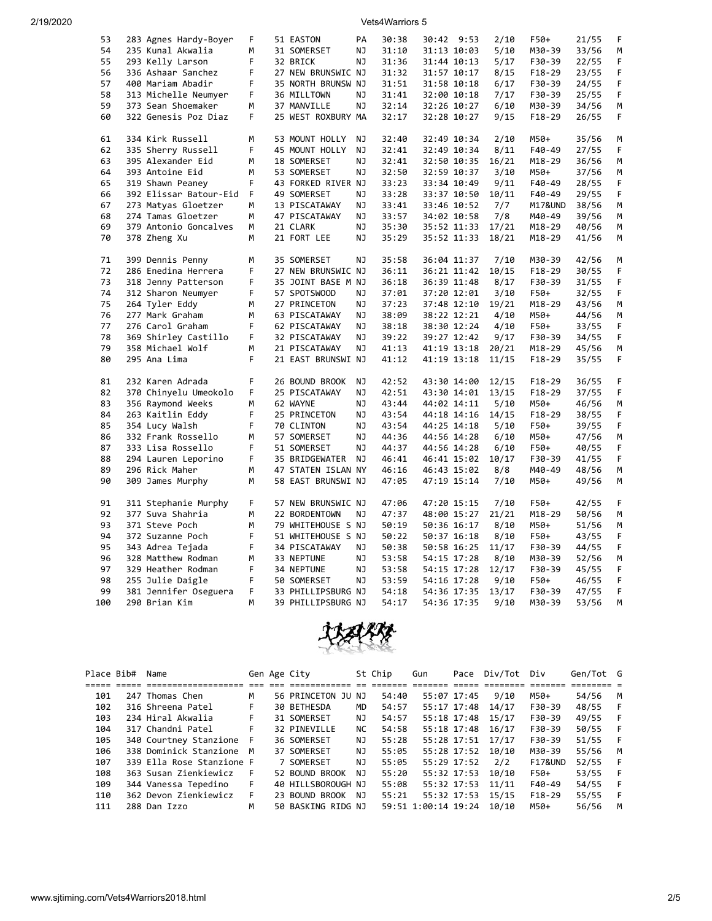| 53  | 283 Agnes Hardy-Boyer  | F  | 51 EASTON          | PA  | 30:38 | 30:42 9:53  |             | 2/10  | F50+       | 21/55 | F  |
|-----|------------------------|----|--------------------|-----|-------|-------------|-------------|-------|------------|-------|----|
| 54  | 235 Kunal Akwalia      | М  | 31 SOMERSET        | ΝJ  | 31:10 | 31:13 10:03 |             | 5/10  | M30-39     | 33/56 | М  |
| 55  | 293 Kelly Larson       | F  | 32 BRICK           | NJ  | 31:36 | 31:44 10:13 |             | 5/17  | F30-39     | 22/55 | F  |
| 56  | 336 Ashaar Sanchez     | F  | 27 NEW BRUNSWIC NJ |     | 31:32 | 31:57 10:17 |             | 8/15  | $F18-29$   | 23/55 | F  |
| 57  | 400 Mariam Abadir      | F. | 35 NORTH BRUNSW NJ |     | 31:51 | 31:58 10:18 |             | 6/17  | F30-39     | 24/55 | F  |
| 58  | 313 Michelle Neumyer   | F  | 36 MILLTOWN        | NJ  | 31:41 | 32:00 10:18 |             | 7/17  | F30-39     | 25/55 | F  |
| 59  | 373 Sean Shoemaker     | М  | 37 MANVILLE        | NJ  | 32:14 | 32:26 10:27 |             | 6/10  | M30-39     | 34/56 | М  |
| 60  | 322 Genesis Poz Diaz   | F. | 25 WEST ROXBURY MA |     | 32:17 | 32:28 10:27 |             | 9/15  | $F18-29$   | 26/55 | F. |
|     |                        |    |                    |     |       |             |             |       |            |       |    |
| 61  | 334 Kirk Russell       | М  | 53 MOUNT HOLLY     | ΝJ  | 32:40 | 32:49 10:34 |             | 2/10  | M50+       | 35/56 | М  |
| 62  | 335 Sherry Russell     | F  | 45 MOUNT HOLLY     | ΝJ  | 32:41 | 32:49 10:34 |             | 8/11  | F40-49     | 27/55 | F  |
| 63  | 395 Alexander Eid      | M  | 18 SOMERSET        | NJ  | 32:41 | 32:50 10:35 |             | 16/21 | M18-29     | 36/56 | М  |
| 64  | 393 Antoine Eid        | M  | 53 SOMERSET        | NJ  | 32:50 | 32:59 10:37 |             | 3/10  | M50+       | 37/56 | М  |
| 65  | 319 Shawn Peaney       | F. | 43 FORKED RIVER NJ |     | 33:23 | 33:34 10:49 |             | 9/11  | F40-49     | 28/55 | F  |
| 66  | 392 Elissar Batour-Eid | F  | 49 SOMERSET        | ΝJ  | 33:28 | 33:37 10:50 |             | 10/11 | F40-49     | 29/55 | F  |
| 67  | 273 Matyas Gloetzer    | М  | 13 PISCATAWAY      | NJ  | 33:41 | 33:46 10:52 |             | 7/7   | M17&UND    | 38/56 | М  |
| 68  | 274 Tamas Gloetzer     | M  | 47 PISCATAWAY      | ΝJ  | 33:57 | 34:02 10:58 |             | 7/8   | M40-49     | 39/56 | M  |
| 69  | 379 Antonio Goncalves  | М  | 21 CLARK           | ΝJ  | 35:30 | 35:52 11:33 |             | 17/21 | M18-29     | 40/56 | М  |
| 70  | 378 Zheng Xu           | M  | 21 FORT LEE        | ΝJ  | 35:29 | 35:52 11:33 |             | 18/21 | M18-29     | 41/56 | М  |
|     |                        |    |                    |     |       |             |             |       |            |       |    |
| 71  | 399 Dennis Penny       | M  | 35 SOMERSET        | NJ  | 35:58 | 36:04 11:37 |             | 7/10  | M30-39     | 42/56 | М  |
| 72  | 286 Enedina Herrera    | F  | 27 NEW BRUNSWIC NJ |     | 36:11 | 36:21 11:42 |             | 10/15 | F18-29     | 30/55 | F  |
| 73  | 318 Jenny Patterson    | F  | 35 JOINT BASE M NJ |     | 36:18 | 36:39 11:48 |             | 8/17  | F30-39     | 31/55 | F  |
| 74  | 312 Sharon Neumyer     | F  | 57 SPOTSWOOD       | ΝJ  | 37:01 | 37:20 12:01 |             | 3/10  | F50+       | 32/55 | F  |
| 75  | 264 Tyler Eddy         | М  | 27 PRINCETON       | ΝJ  | 37:23 | 37:48 12:10 |             | 19/21 | M18-29     | 43/56 | М  |
| 76  | 277 Mark Graham        | М  | 63 PISCATAWAY      | ΝJ  | 38:09 | 38:22 12:21 |             | 4/10  | M50+       | 44/56 | М  |
| 77  | 276 Carol Graham       | F  | 62 PISCATAWAY      | ΝJ  | 38:18 | 38:30 12:24 |             | 4/10  | F50+       | 33/55 | F  |
| 78  | 369 Shirley Castillo   | F. | 32 PISCATAWAY      | ΝJ  | 39:22 | 39:27 12:42 |             | 9/17  | F30-39     | 34/55 | F. |
| 79  | 358 Michael Wolf       | M  | 21 PISCATAWAY      | ΝJ  | 41:13 | 41:19 13:18 |             | 20/21 | M18-29     | 45/56 | М  |
| 80  | 295 Ana Lima           | F  | 21 EAST BRUNSWI NJ |     | 41:12 | 41:19 13:18 |             | 11/15 | F18-29     | 35/55 | F  |
|     |                        |    |                    |     |       |             |             |       |            |       |    |
| 81  | 232 Karen Adrada       | F  | 26 BOUND BROOK     | NJ  | 42:52 | 43:30 14:00 |             | 12/15 | F18-29     | 36/55 | F  |
| 82  | 370 Chinyelu Umeokolo  | F  | 25 PISCATAWAY      | ΝJ  | 42:51 | 43:30 14:01 |             | 13/15 | $F18-29$   | 37/55 | F  |
| 83  | 356 Raymond Weeks      | M  | 62 WAYNE           | NJ  | 43:44 | 44:02 14:11 |             | 5/10  | M50+       | 46/56 | М  |
| 84  | 263 Kaitlin Eddy       | F  | 25 PRINCETON       | NJ  | 43:54 | 44:18 14:16 |             | 14/15 | $F18-29$   | 38/55 | F  |
| 85  | 354 Lucy Walsh         | F  | 70 CLINTON         | NJ  | 43:54 | 44:25 14:18 |             | 5/10  | F50+       | 39/55 | F  |
| 86  | 332 Frank Rossello     | M  | 57 SOMERSET        | ΝJ  | 44:36 | 44:56 14:28 |             | 6/10  | M50+       | 47/56 | M  |
| 87  | 333 Lisa Rossello      | F  | 51 SOMERSET        | NJ  | 44:37 | 44:56 14:28 |             | 6/10  | F50+       | 40/55 | F  |
| 88  | 294 Lauren Leporino    | F  | 35 BRIDGEWATER     | NJ. | 46:41 |             | 46:41 15:02 | 10/17 | F30-39     | 41/55 | F  |
| 89  | 296 Rick Maher         | М  | 47 STATEN ISLAN NY |     | 46:16 | 46:43 15:02 |             | 8/8   | M40-49     | 48/56 | М  |
| 90  | 309 James Murphy       | M  | 58 EAST BRUNSWI NJ |     | 47:05 | 47:19 15:14 |             | 7/10  | M50+       | 49/56 | М  |
| 91  | 311 Stephanie Murphy   | F  | 57 NEW BRUNSWIC NJ |     | 47:06 | 47:20 15:15 |             | 7/10  | F50+       | 42/55 | F  |
| 92  | 377 Suva Shahria       | M  | 22 BORDENTOWN      | NJ  | 47:37 | 48:00 15:27 |             | 21/21 | $M18 - 29$ | 50/56 | М  |
| 93  | 371 Steve Poch         | M  | 79 WHITEHOUSE S NJ |     | 50:19 | 50:36 16:17 |             | 8/10  | M50+       | 51/56 | M  |
| 94  | 372 Suzanne Poch       | F  | 51 WHITEHOUSE S NJ |     | 50:22 | 50:37 16:18 |             | 8/10  | F50+       | 43/55 | F  |
| 95  | 343 Adrea Tejada       | F  | 34 PISCATAWAY      | ΝJ  | 50:38 | 50:58 16:25 |             | 11/17 | F30-39     | 44/55 | F  |
| 96  | 328 Matthew Rodman     | М  | 33 NEPTUNE         | ΝJ  | 53:58 | 54:15 17:28 |             | 8/10  | M30-39     | 52/56 | М  |
| 97  | 329 Heather Rodman     | F  | 34 NEPTUNE         | ΝJ  | 53:58 | 54:15 17:28 |             | 12/17 | F30-39     | 45/55 | F  |
| 98  | 255 Julie Daigle       | F  | 50 SOMERSET        | NJ  | 53:59 | 54:16 17:28 |             | 9/10  | F50+       | 46/55 | F  |
| 99  | 381 Jennifer Oseguera  | F. | 33 PHILLIPSBURG NJ |     | 54:18 | 54:36 17:35 |             | 13/17 | F30-39     | 47/55 | F  |
| 100 | 290 Brian Kim          | M  | 39 PHILLIPSBURG NJ |     | 54:17 | 54:36 17:35 |             | 9/10  | M30-39     | 53/56 | M  |
|     |                        |    |                    |     |       |             |             |       |            |       |    |



| Place Bib# | Name                      |    | Gen Age City       |     | St Chip | Gun                 | Pace        | Div/Tot | Div      | Gen/Tot G |   |
|------------|---------------------------|----|--------------------|-----|---------|---------------------|-------------|---------|----------|-----------|---|
|            |                           |    |                    |     |         |                     |             |         |          |           |   |
| 101        | 247 Thomas Chen           | м  | 56 PRINCETON JU NJ |     | 54:40   | 55:07 17:45         |             | 9/10    | M50+     | 54/56     | M |
| 102        | 316 Shreena Patel         | F. | 30 BETHESDA        | MD  | 54:57   |                     | 55:17 17:48 | 14/17   | F30-39   | 48/55     |   |
| 103        | 234 Hiral Akwalia         | F. | 31 SOMERSET        | NJ. | 54:57   |                     | 55:18 17:48 | 15/17   | F30-39   | 49/55     |   |
| 104        | 317 Chandni Patel         | F  | 32 PINEVILLE       | NC. | 54:58   |                     | 55:18 17:48 | 16/17   | F30-39   | 50/55     |   |
| 105        | 340 Courtney Stanzione F  |    | 36 SOMERSET        | NJ. | 55:28   |                     | 55:28 17:51 | 17/17   | F30-39   | 51/55     |   |
| 106        | 338 Dominick Stanzione M  |    | 37 SOMERSET        | NJ. | 55:05   |                     | 55:28 17:52 | 10/10   | M30-39   | 55/56     | M |
| 107        | 339 Ella Rose Stanzione F |    | 7 SOMERSET         | NJ. | 55:05   |                     | 55:29 17:52 | 2/2     | F17&UND  | 52/55     |   |
| 108        | 363 Susan Zienkiewicz     | F  | 52 BOUND BROOK     | NJ. | 55:20   |                     | 55:32 17:53 | 10/10   | F50+     | 53/55     |   |
| 109        | 344 Vanessa Tepedino      | F. | 40 HILLSBOROUGH NJ |     | 55:08   |                     | 55:32 17:53 | 11/11   | F40-49   | 54/55     |   |
| 110        | 362 Devon Zienkiewicz     | F. | 23 BOUND BROOK     | NJ  | 55:21   |                     | 55:32 17:53 | 15/15   | $F18-29$ | 55/55     |   |
| 111        | 288 Dan Izzo              | м  | 50 BASKING RIDG NJ |     |         | 59:51 1:00:14 19:24 |             | 10/10   | M50+     | 56/56     | M |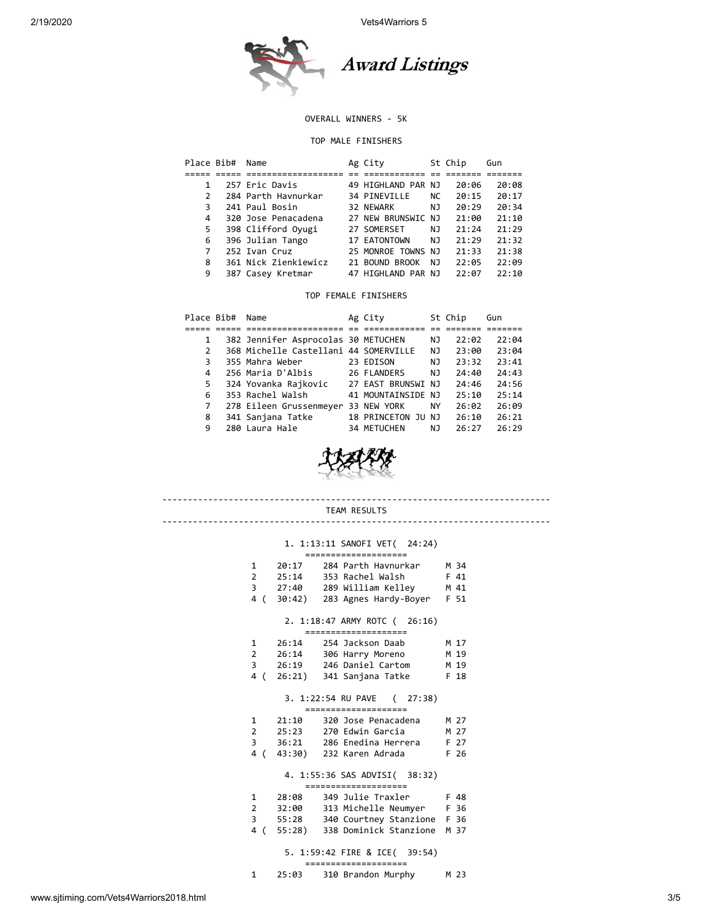

### OVERALL WINNERS - 5K

#### TOP MALE FINISHERS

| Place Bib#    | Name                 | Ag City            |     | St Chip | Gun   |  |
|---------------|----------------------|--------------------|-----|---------|-------|--|
|               |                      |                    |     |         |       |  |
|               | 257 Eric Davis       | 49 HIGHLAND PAR NJ |     | 20:06   | 20:08 |  |
| $\mathcal{P}$ | 284 Parth Havnurkar  | 34 PINEVILLE       | NC. | 20:15   | 20:17 |  |
| 3             | 241 Paul Bosin       | 32 NEWARK          | NJ. | 20:29   | 20:34 |  |
| 4             | 320 Jose Penacadena  | 27 NEW BRUNSWIC NJ |     | 21:00   | 21:10 |  |
| 5.            | 398 Clifford Oyugi   | 27 SOMERSET        | NJ. | 21:24   | 21:29 |  |
| 6             | 396 Julian Tango     | 17 EATONTOWN       | NJ  | 21:29   | 21:32 |  |
| 7             | 252 Ivan Cruz        | 25 MONROE TOWNS NJ |     | 21:33   | 21:38 |  |
| 8             | 361 Nick Zienkiewicz | 21 BOUND BROOK     | NJ  | 22:05   | 22:09 |  |
| 9             | 387 Casey Kretmar    | 47 HIGHLAND PAR NJ |     | 22:07   | 22:10 |  |
|               |                      |                    |     |         |       |  |

### TOP FEMALE FINISHERS

| Place Bib#   | Name                                  | Ag City            |    | St Chip | Gun   |
|--------------|---------------------------------------|--------------------|----|---------|-------|
|              |                                       |                    |    |         |       |
| 1            | 382 Jennifer Asprocolas 30 METUCHEN   |                    | ΝJ | 22:02   | 22:04 |
| $\mathbf{2}$ | 368 Michelle Castellani 44 SOMERVILLE |                    | NJ | 23:00   | 23:04 |
| 3            | 355 Mahra Weber                       | 23 EDISON          | NJ | 23:32   | 23:41 |
| 4            | 256 Maria D'Albis                     | 26 FLANDERS        | NJ | 24:40   | 24:43 |
| 5.           | 324 Yovanka Rajkovic                  | 27 EAST BRUNSWI NJ |    | 24:46   | 24:56 |
| 6            | 353 Rachel Walsh                      | 41 MOUNTAINSIDE NJ |    | 25:10   | 25:14 |
| 7            | 278 Eileen Grussenmeyer 33 NEW YORK   |                    | ΝY | 26:02   | 26:09 |
| 8            | 341 Sanjana Tatke                     | 18 PRINCETON JU NJ |    | 26:10   | 26:21 |
| 9            | 280 Laura Hale                        | 34 METUCHEN        | NJ | 26:27   | 26:29 |



#### ---------------------------------------------------------------------------- TEAM RESULTS

#### ----------------------------------------------------------------------------

## 1. 1:13:11 SANOFI VET( 24:24)

|     | :===================== |                                                        |      |  |  |  |  |  |
|-----|------------------------|--------------------------------------------------------|------|--|--|--|--|--|
|     | 1 20:17                | 284 Parth Havnurkar                                    | M 34 |  |  |  |  |  |
|     | $2 \t 25:14$           | 353 Rachel Walsh                                       | F 41 |  |  |  |  |  |
|     |                        | 3 27:40 289 William Kelley                             | M 41 |  |  |  |  |  |
| 4 ( |                        | 30:42) 283 Agnes Hardy-Boyer                           | F 51 |  |  |  |  |  |
|     |                        | 2. 1:18:47 ARMY ROTC (26:16)<br>=====================  |      |  |  |  |  |  |
|     | $1 \t26:14$            | 254 Jackson Daab                                       | M 17 |  |  |  |  |  |
|     |                        | 2 26:14 306 Harry Moreno                               | M 19 |  |  |  |  |  |
|     |                        | 3 26:19 246 Daniel Cartom                              | M 19 |  |  |  |  |  |
| 4 ( |                        | 26:21) 341 Sanjana Tatke                               | F 18 |  |  |  |  |  |
|     |                        |                                                        |      |  |  |  |  |  |
|     |                        | 3. 1:22:54 RU PAVE (27:38)<br>====================     |      |  |  |  |  |  |
| 1   | 21:10                  | 320 Jose Penacadena                                    | M 27 |  |  |  |  |  |
|     |                        | 2 25:23 270 Edwin Garcia                               | M 27 |  |  |  |  |  |
|     |                        | 3 36:21 286 Enedina Herrera                            | F 27 |  |  |  |  |  |
|     |                        | 4 (43:30) 232 Karen Adrada                             | F 26 |  |  |  |  |  |
|     |                        | 4. 1:55:36 SAS ADVISI( 38:32)<br>===================== |      |  |  |  |  |  |
| 1   |                        |                                                        |      |  |  |  |  |  |
| 2   | 28:08<br>32:00         | 349 Julie Traxler F 48<br>313 Michelle Neumyer F 36    |      |  |  |  |  |  |

# 4 ( 55:28) 338 Dominick Stanzione M 37

## 5. 1:59:42 FIRE & ICE( 39:54)

#### ==================== 1 25:03 310 Brandon Murphy M 23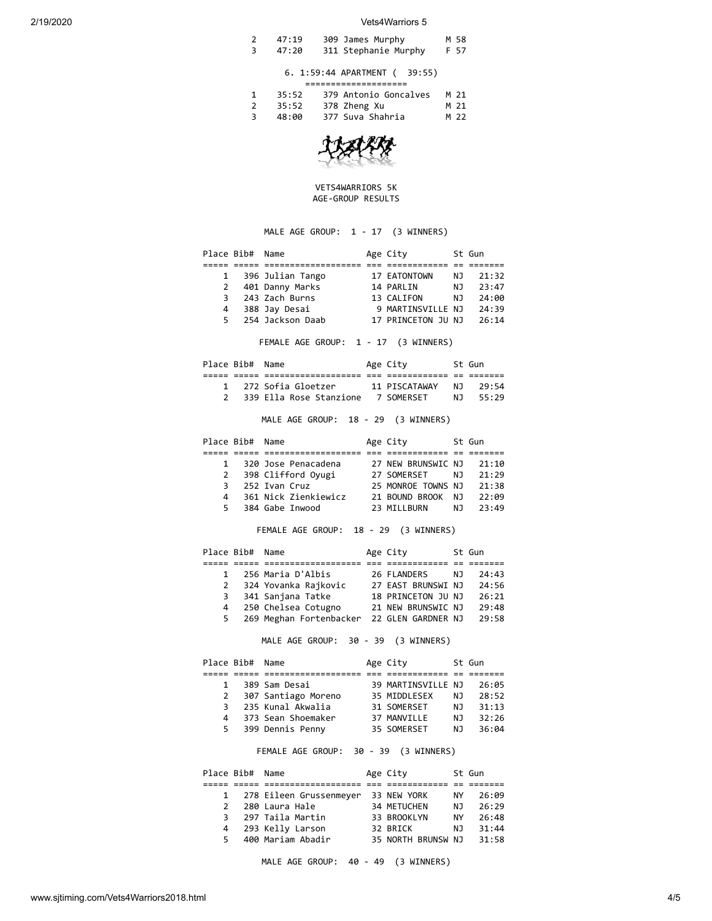| 47:19 | 309 James Murphy     | M 58 |
|-------|----------------------|------|
| 47:20 | 311 Stephanie Murphy | F 57 |

#### 6. 1:59:44 APARTMENT ( 39:55) ====================

| 35:52 | 379 Antonio Goncalves | M 21 |
|-------|-----------------------|------|
| 35:52 | 378 Zheng Xu          | M 21 |
| 48:00 | 377 Suva Shahria      | M 22 |



#### VETS4WARRIORS 5K AGE-GROUP RESULTS

# MALE AGE GROUP: 1 - 17 (3 WINNERS)

|              | Place Bib# Name |                  | Age City           |     | St Gun |  |
|--------------|-----------------|------------------|--------------------|-----|--------|--|
|              |                 |                  |                    |     |        |  |
| $\mathbf{1}$ |                 | 396 Julian Tango | 17 EATONTOWN       | NJ. | 21:32  |  |
| $\mathbf{2}$ |                 | 401 Danny Marks  | 14 PARLIN          | NJ. | 23:47  |  |
| 3            |                 | 243 Zach Burns   | 13 CALIFON         | NJ. | 24:00  |  |
| 4            |                 | 388 Jay Desai    | 9 MARTINSVILLE NJ  |     | 24:39  |  |
| 5.           |                 | 254 Jackson Daab | 17 PRINCETON JU NJ |     | 26:14  |  |
|              |                 |                  |                    |     |        |  |

FEMALE AGE GROUP: 1 - 17 (3 WINNERS)

| Place Bib# Name |                         | Age City      |     | St Gun |
|-----------------|-------------------------|---------------|-----|--------|
|                 |                         |               |     |        |
|                 | 1 272 Sofia Gloetzer    | 11 PTSCATAWAY | N T | 79:54  |
|                 | 339 Ella Rose Stanzione | 7 SOMFRSFT    | N T | 55.29  |

MALE AGE GROUP: 18 - 29 (3 WINNERS)

|              | Place Bib# Name |                      | Age City           |     | St Gun |
|--------------|-----------------|----------------------|--------------------|-----|--------|
|              |                 |                      |                    |     |        |
| $\mathbf{1}$ |                 | 320 Jose Penacadena  | 27 NEW BRUNSWIC NJ |     | 21:10  |
| 2            |                 | 398 Clifford Oyugi   | 27 SOMERSET        | NJ. | 21:29  |
| 3            |                 | 252 Ivan Cruz        | 25 MONROE TOWNS NJ |     | 21:38  |
| 4            |                 | 361 Nick Zienkiewicz | 21 BOUND BROOK     | N J | 22:09  |
| 5.           |                 | 384 Gabe Inwood      | 23 MILLBURN        | NJ. | 23:49  |

## FEMALE AGE GROUP: 18 - 29 (3 WINNERS)

|              | Place Bib# Name |                         | Age City           |     | St Gun |
|--------------|-----------------|-------------------------|--------------------|-----|--------|
|              |                 |                         |                    |     |        |
| $\mathbf{1}$ |                 | 256 Maria D'Albis       | 26 FLANDERS        | N J | 24:43  |
| 2            |                 | 324 Yovanka Rajkovic    | 27 EAST BRUNSWI NJ |     | 24:56  |
| 3            |                 | 341 Sanjana Tatke       | 18 PRINCETON JU NJ |     | 26:21  |
| 4            |                 | 250 Chelsea Cotugno     | 21 NEW BRUNSWIC NJ |     | 29:48  |
|              | 5.              | 269 Meghan Fortenbacker | 22 GLEN GARDNER NJ |     | 29:58  |

MALE AGE GROUP: 30 - 39 (3 WINNERS)

|              | Place Bib# Name |                     | Age City           |     | St Gun |
|--------------|-----------------|---------------------|--------------------|-----|--------|
|              |                 |                     |                    |     |        |
| 1            |                 | 389 Sam Desai       | 39 MARTINSVILLE NJ |     | 26:05  |
| <sup>2</sup> |                 | 307 Santiago Moreno | 35 MIDDLESEX       | NJ. | 28:52  |
| 3            |                 | 235 Kunal Akwalia   | 31 SOMERSET        | NJ. | 31:13  |
| 4            |                 | 373 Sean Shoemaker  | 37 MANVILLE        | NJ. | 32:26  |
| 5.           |                 | 399 Dennis Penny    | 35 SOMERSET        | NJ. | 36:04  |

#### FEMALE AGE GROUP: 30 - 39 (3 WINNERS)

|               | Place Bib# Name |                           | Age City           |     | St Gun |
|---------------|-----------------|---------------------------|--------------------|-----|--------|
|               |                 |                           |                    |     |        |
|               |                 | 1 278 Eileen Grussenmeyer | 33 NEW YORK        | NY  | 26:09  |
| $\mathcal{P}$ |                 | 280 Laura Hale            | 34 METUCHEN        | NJ. | 26:29  |
| 3             |                 | 297 Taila Martin          | 33 BROOKLYN        | NY  | 26:48  |
| 4             |                 | 293 Kelly Larson          | 32 BRICK           | N J | 31:44  |
| 5.            |                 | 400 Mariam Abadir         | 35 NORTH BRUNSW NJ |     | 31:58  |

MALE AGE GROUP: 40 - 49 (3 WINNERS)